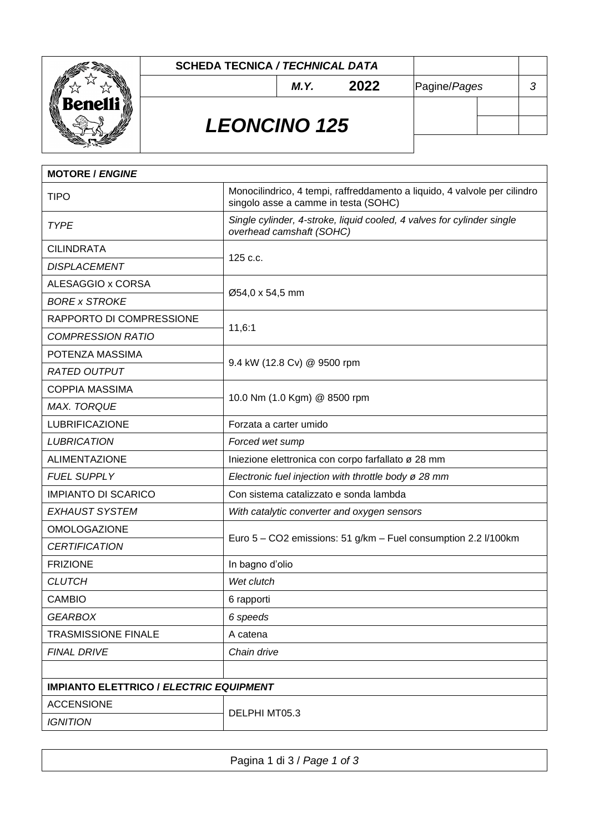

### **SCHEDA TECNICA** */ TECHNICAL DATA*

*M.Y.* **2022** Pagine/*Pages 3*

# *LEONCINO 125*

| <b>MOTORE / ENGINE</b>                         |                                                                                                                   |  |
|------------------------------------------------|-------------------------------------------------------------------------------------------------------------------|--|
| <b>TIPO</b>                                    | Monocilindrico, 4 tempi, raffreddamento a liquido, 4 valvole per cilindro<br>singolo asse a camme in testa (SOHC) |  |
| <b>TYPE</b>                                    | Single cylinder, 4-stroke, liquid cooled, 4 valves for cylinder single<br>overhead camshaft (SOHC)                |  |
| <b>CILINDRATA</b>                              | 125 c.c.                                                                                                          |  |
| <b>DISPLACEMENT</b>                            |                                                                                                                   |  |
| ALESAGGIO x CORSA                              | Ø54,0 x 54,5 mm                                                                                                   |  |
| <b>BORE x STROKE</b>                           |                                                                                                                   |  |
| RAPPORTO DI COMPRESSIONE                       | 11,6:1                                                                                                            |  |
| <b>COMPRESSION RATIO</b>                       |                                                                                                                   |  |
| POTENZA MASSIMA                                | 9.4 kW (12.8 Cv) @ 9500 rpm                                                                                       |  |
| <b>RATED OUTPUT</b>                            |                                                                                                                   |  |
| <b>COPPIA MASSIMA</b>                          | 10.0 Nm (1.0 Kgm) @ 8500 rpm                                                                                      |  |
| <b>MAX. TORQUE</b>                             |                                                                                                                   |  |
| <b>LUBRIFICAZIONE</b>                          | Forzata a carter umido                                                                                            |  |
| <b>LUBRICATION</b>                             | Forced wet sump                                                                                                   |  |
| <b>ALIMENTAZIONE</b>                           | Iniezione elettronica con corpo farfallato ø 28 mm                                                                |  |
| <b>FUEL SUPPLY</b>                             | Electronic fuel injection with throttle body ø 28 mm                                                              |  |
| <b>IMPIANTO DI SCARICO</b>                     | Con sistema catalizzato e sonda lambda                                                                            |  |
| <b>EXHAUST SYSTEM</b>                          | With catalytic converter and oxygen sensors                                                                       |  |
| <b>OMOLOGAZIONE</b>                            |                                                                                                                   |  |
| <b>CERTIFICATION</b>                           | Euro 5 - CO2 emissions: 51 g/km - Fuel consumption 2.2 l/100km                                                    |  |
| <b>FRIZIONE</b>                                | In bagno d'olio                                                                                                   |  |
| <b>CLUTCH</b>                                  | Wet clutch                                                                                                        |  |
| <b>CAMBIO</b>                                  | 6 rapporti                                                                                                        |  |
| <b>GEARBOX</b>                                 | 6 speeds                                                                                                          |  |
| <b>TRASMISSIONE FINALE</b>                     | A catena                                                                                                          |  |
| <b>FINAL DRIVE</b>                             | Chain drive                                                                                                       |  |
|                                                |                                                                                                                   |  |
| <b>IMPIANTO ELETTRICO / ELECTRIC EQUIPMENT</b> |                                                                                                                   |  |
| <b>ACCENSIONE</b>                              | DELPHI MT05.3                                                                                                     |  |
| <b>IGNITION</b>                                |                                                                                                                   |  |

| Pagina 1 di 3 / Page 1 of 3 |
|-----------------------------|
|                             |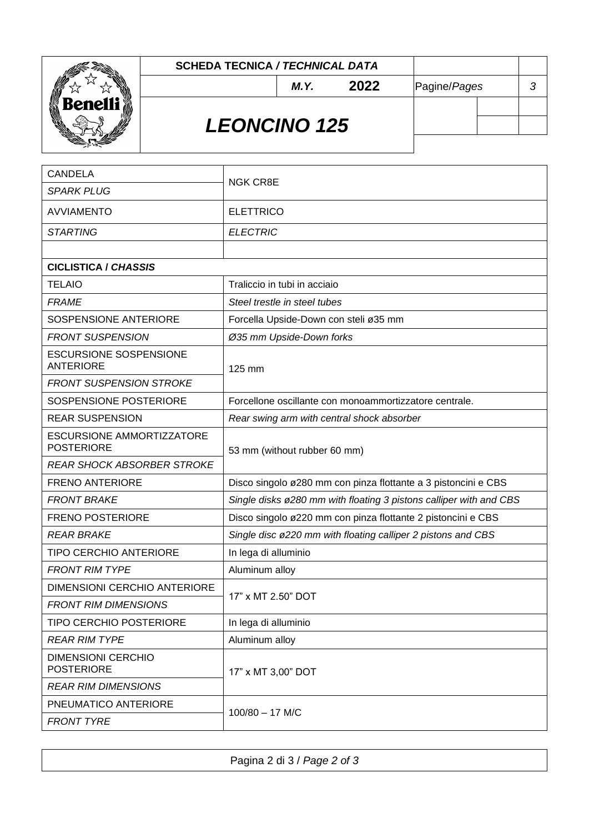

#### **SCHEDA TECNICA** */ TECHNICAL DATA*

*M.Y.* **2022** Pagine/*Pages 3*

# *LEONCINO 125*

| <b>CANDELA</b>                                        | <b>NGK CR8E</b>                                                    |  |
|-------------------------------------------------------|--------------------------------------------------------------------|--|
| <b>SPARK PLUG</b>                                     |                                                                    |  |
| <b>AVVIAMENTO</b>                                     | <b>ELETTRICO</b>                                                   |  |
| <b>STARTING</b>                                       | <b>ELECTRIC</b>                                                    |  |
|                                                       |                                                                    |  |
| <b>CICLISTICA / CHASSIS</b>                           |                                                                    |  |
| <b>TELAIO</b>                                         | Traliccio in tubi in acciaio                                       |  |
| <b>FRAME</b>                                          | Steel trestle in steel tubes                                       |  |
| SOSPENSIONE ANTERIORE                                 | Forcella Upside-Down con steli ø35 mm                              |  |
| <b>FRONT SUSPENSION</b>                               | Ø35 mm Upside-Down forks                                           |  |
| <b>ESCURSIONE SOSPENSIONE</b><br><b>ANTERIORE</b>     | 125 mm                                                             |  |
| <b>FRONT SUSPENSION STROKE</b>                        |                                                                    |  |
| SOSPENSIONE POSTERIORE                                | Forcellone oscillante con monoammortizzatore centrale.             |  |
| <b>REAR SUSPENSION</b>                                | Rear swing arm with central shock absorber                         |  |
| <b>ESCURSIONE AMMORTIZZATORE</b><br><b>POSTERIORE</b> | 53 mm (without rubber 60 mm)                                       |  |
| <b>REAR SHOCK ABSORBER STROKE</b>                     |                                                                    |  |
| <b>FRENO ANTERIORE</b>                                | Disco singolo ø280 mm con pinza flottante a 3 pistoncini e CBS     |  |
| <b>FRONT BRAKE</b>                                    | Single disks ø280 mm with floating 3 pistons calliper with and CBS |  |
| <b>FRENO POSTERIORE</b>                               | Disco singolo ø220 mm con pinza flottante 2 pistoncini e CBS       |  |
| <b>REAR BRAKE</b>                                     | Single disc ø220 mm with floating calliper 2 pistons and CBS       |  |
| <b>TIPO CERCHIO ANTERIORE</b>                         | In lega di alluminio                                               |  |
| <b>FRONT RIM TYPE</b>                                 | Aluminum alloy                                                     |  |
| <b>DIMENSIONI CERCHIO ANTERIORE</b>                   |                                                                    |  |
| <b>FRONT RIM DIMENSIONS</b>                           | 17" x MT 2.50" DOT                                                 |  |
| <b>TIPO CERCHIO POSTERIORE</b>                        | In lega di alluminio                                               |  |
| <b>REAR RIM TYPE</b>                                  | Aluminum alloy                                                     |  |
| <b>DIMENSIONI CERCHIO</b><br><b>POSTERIORE</b>        | 17" x MT 3,00" DOT                                                 |  |
| <b>REAR RIM DIMENSIONS</b>                            |                                                                    |  |
| PNEUMATICO ANTERIORE                                  | 100/80 - 17 M/C                                                    |  |
| <b>FRONT TYRE</b>                                     |                                                                    |  |

Pagina 2 di 3 / *Page 2 of 3*